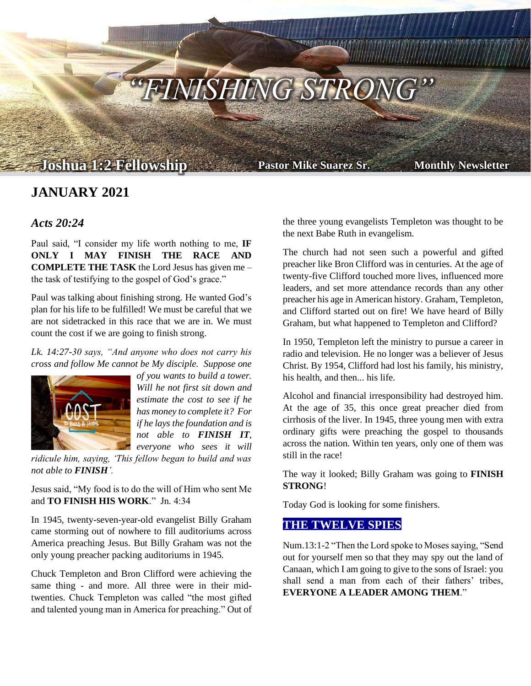

# **JANUARY 2021**

#### *Acts 20:24*

Paul said, "I consider my life worth nothing to me, **IF ONLY I MAY FINISH THE RACE AND COMPLETE THE TASK** the Lord Jesus has given me – the task of testifying to the gospel of God's grace."

Paul was talking about finishing strong. He wanted God's plan for his life to be fulfilled! We must be careful that we are not sidetracked in this race that we are in. We must count the cost if we are going to finish strong.

*Lk. 14:27-30 says, "And anyone who does not carry his cross and follow Me cannot be My disciple. Suppose one* 



*of you wants to build a tower. Will he not first sit down and estimate the cost to see if he has money to complete it? For if he lays the foundation and is not able to FINISH IT, everyone who sees it will* 

*ridicule him, saying, 'This fellow began to build and was not able to FINISH'.*

Jesus said, "My food is to do the will of Him who sent Me and **TO FINISH HIS WORK**." Jn. 4:34

In 1945, twenty-seven-year-old evangelist Billy Graham came storming out of nowhere to fill auditoriums across America preaching Jesus. But Billy Graham was not the only young preacher packing auditoriums in 1945.

Chuck Templeton and Bron Clifford were achieving the same thing - and more. All three were in their midtwenties. Chuck Templeton was called "the most gifted and talented young man in America for preaching." Out of the three young evangelists Templeton was thought to be the next Babe Ruth in evangelism.

The church had not seen such a powerful and gifted preacher like Bron Clifford was in centuries. At the age of twenty-five Clifford touched more lives, influenced more leaders, and set more attendance records than any other preacher his age in American history. Graham, Templeton, and Clifford started out on fire! We have heard of Billy Graham, but what happened to Templeton and Clifford?

In 1950, Templeton left the ministry to pursue a career in radio and television. He no longer was a believer of Jesus Christ. By 1954, Clifford had lost his family, his ministry, his health, and then... his life.

Alcohol and financial irresponsibility had destroyed him. At the age of 35, this once great preacher died from cirrhosis of the liver. In 1945, three young men with extra ordinary gifts were preaching the gospel to thousands across the nation. Within ten years, only one of them was still in the race!

The way it looked; Billy Graham was going to **FINISH STRONG**!

Today God is looking for some finishers.

### **THE TWELVE SPIES**

Num.13:1-2 "Then the Lord spoke to Moses saying, "Send out for yourself men so that they may spy out the land of Canaan, which I am going to give to the sons of Israel: you shall send a man from each of their fathers' tribes, **EVERYONE A LEADER AMONG THEM**."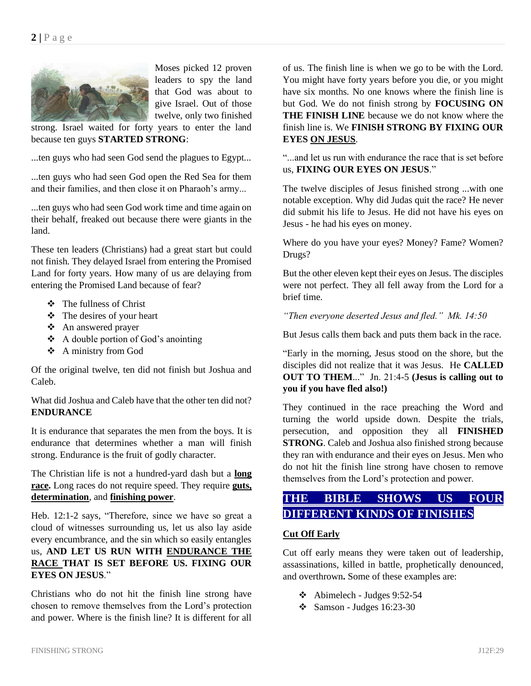

Moses picked 12 proven leaders to spy the land that God was about to give Israel. Out of those twelve, only two finished

strong. Israel waited for forty years to enter the land because ten guys **STARTED STRONG**:

...ten guys who had seen God send the plagues to Egypt...

...ten guys who had seen God open the Red Sea for them and their families, and then close it on Pharaoh's army...

...ten guys who had seen God work time and time again on their behalf, freaked out because there were giants in the land.

These ten leaders (Christians) had a great start but could not finish. They delayed Israel from entering the Promised Land for forty years. How many of us are delaying from entering the Promised Land because of fear?

- ❖ The fullness of Christ
- ❖ The desires of your heart
- ❖ An answered prayer
- ❖ A double portion of God's anointing
- ❖ A ministry from God

Of the original twelve, ten did not finish but Joshua and Caleb.

What did Joshua and Caleb have that the other ten did not? **ENDURANCE**

It is endurance that separates the men from the boys. It is endurance that determines whether a man will finish strong. Endurance is the fruit of godly character.

The Christian life is not a hundred-yard dash but a **long race.** Long races do not require speed. They require **guts, determination**, and **finishing power**.

Heb. 12:1-2 says, "Therefore, since we have so great a cloud of witnesses surrounding us, let us also lay aside every encumbrance, and the sin which so easily entangles us, **AND LET US RUN WITH ENDURANCE THE RACE THAT IS SET BEFORE US. FIXING OUR EYES ON JESUS**."

Christians who do not hit the finish line strong have chosen to remove themselves from the Lord's protection and power. Where is the finish line? It is different for all

of us. The finish line is when we go to be with the Lord. You might have forty years before you die, or you might have six months. No one knows where the finish line is but God. We do not finish strong by **FOCUSING ON THE FINISH LINE** because we do not know where the finish line is. We **FINISH STRONG BY FIXING OUR EYES ON JESUS**.

"...and let us run with endurance the race that is set before us, **FIXING OUR EYES ON JESUS**."

The twelve disciples of Jesus finished strong ...with one notable exception. Why did Judas quit the race? He never did submit his life to Jesus. He did not have his eyes on Jesus - he had his eyes on money.

Where do you have your eyes? Money? Fame? Women? Drugs?

But the other eleven kept their eyes on Jesus. The disciples were not perfect. They all fell away from the Lord for a brief time.

*"Then everyone deserted Jesus and fled." Mk. 14:50*

But Jesus calls them back and puts them back in the race.

"Early in the morning, Jesus stood on the shore, but the disciples did not realize that it was Jesus. He **CALLED OUT TO THEM**..." Jn. 21:4-5 **(Jesus is calling out to you if you have fled also!)**

They continued in the race preaching the Word and turning the world upside down. Despite the trials, persecution, and opposition they all **FINISHED STRONG**. Caleb and Joshua also finished strong because they ran with endurance and their eyes on Jesus. Men who do not hit the finish line strong have chosen to remove themselves from the Lord's protection and power.

# **THE BIBLE SHOWS US FOUR DIFFERENT KINDS OF FINISHES**

#### **Cut Off Early**

Cut off early means they were taken out of leadership, assassinations, killed in battle, prophetically denounced, and overthrown**.** Some of these examples are:

- $\div$  Abimelech Judges 9:52-54
- $\div$  Samson Judges 16:23-30